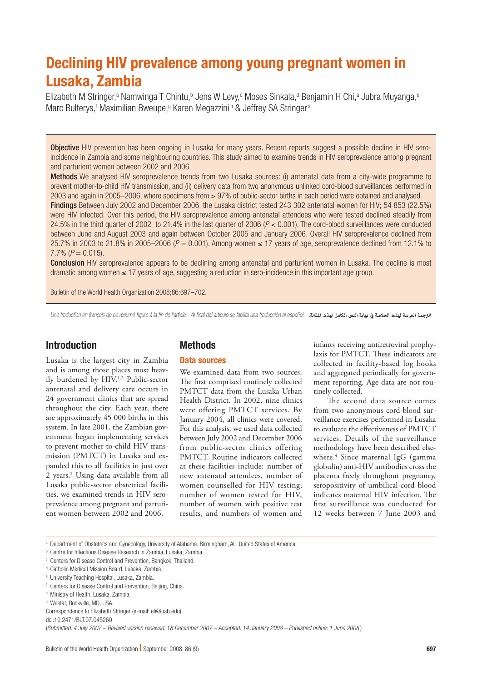# Declining HIV prevalence among young pregnant women in Lusaka, Zambia

Elizabeth M Stringer,<sup>a</sup> Namwinga T Chintu,<sup>b</sup> Jens W Levy,<sup>c</sup> Moses Sinkala,<sup>d</sup> Benjamin H Chi,<sup>a</sup> Jubra Muyanga,<sup>e</sup> Marc Bulterys,<sup>f</sup> Maximilian Bweupe,<sup>g</sup> Karen Megazzini<sup>n</sup> & Jeffrey SA Stringer<sup>a</sup>

Objective HIV prevention has been ongoing in Lusaka for many years. Recent reports suggest a possible decline in HIV seroincidence in Zambia and some neighbouring countries. This study aimed to examine trends in HIV seroprevalence among pregnant and parturient women between 2002 and 2006.

Methods We analysed HIV seroprevalence trends from two Lusaka sources: (i) antenatal data from a city-wide programme to prevent mother-to-child HIV transmission, and (ii) delivery data from two anonymous unlinked cord-blood surveillances performed in 2003 and again in 2005–2006, where specimens from > 97% of public-sector births in each period were obtained and analysed.

Findings Between July 2002 and December 2006, the Lusaka district tested 243 302 antenatal women for HIV; 54 853 (22.5%) were HIV infected. Over this period, the HIV seroprevalence among antenatal attendees who were tested declined steadily from 24.5% in the third quarter of 2002 to 21.4% in the last quarter of 2006 (*P* < 0.001). The cord-blood surveillances were conducted between June and August 2003 and again between October 2005 and January 2006. Overall HIV seroprevalence declined from 25.7% in 2003 to 21.8% in 2005–2006 ( $P = 0.001$ ). Among women ≤ 17 years of age, seroprevalence declined from 12.1% to  $7.7\%$  ( $P = 0.015$ ).

Conclusion HIV seroprevalence appears to be declining among antenatal and parturient women in Lusaka. The decline is most dramatic among women ≤ 17 years of age, suggesting a reduction in sero-incidence in this important age group.

Bulletin of the World Health Organization 2008;86:697–702.

Une traduction en français de ce résumé figure à la fin de l'article. Al final del artículo se facilita una traducción al español. *.املقالة لهذه الكامل النص نهاية يف الخالصة لهذه العربية الرتجمة*

# Introduction

Lusaka is the largest city in Zambia and is among those places most heavily burdened by HIV.1,2 Public-sector antenatal and delivery care occurs in 24 government clinics that are spread throughout the city. Each year, there are approximately 45 000 births in this system. In late 2001, the Zambian government began implementing services to prevent mother-to-child HIV transmission (PMTCT) in Lusaka and expanded this to all facilities in just over 2 years.3 Using data available from all Lusaka public-sector obstetrical facilities, we examined trends in HIV seroprevalence among pregnant and parturient women between 2002 and 2006.

## **Methods**

## Data sources

We examined data from two sources. The first comprised routinely collected PMTCT data from the Lusaka Urban Health District. In 2002, nine clinics were offering PMTCT services. By January 2004, all clinics were covered. For this analysis, we used data collected between July 2002 and December 2006 from public-sector clinics offering PMTCT. Routine indicators collected at these facilities include: number of new antenatal attendees, number of women counselled for HIV testing, number of women tested for HIV, number of women with positive test results, and numbers of women and

infants receiving antiretroviral prophylaxis for PMTCT. These indicators are collected in facility-based log books and aggregated periodically for government reporting. Age data are not routinely collected.

The second data source comes from two anonymous cord-blood surveillance exercises performed in Lusaka to evaluate the effectiveness of PMTCT services. Details of the surveillance methodology have been described elsewhere.4 Since maternal IgG (gamma globulin) anti-HIV antibodies cross the placenta freely throughout pregnancy, seropositivity of umbilical-cord blood indicates maternal HIV infection. The first surveillance was conducted for 12 weeks between 7 June 2003 and

a Department of Obstetrics and Gynecology, University of Alabama, Birmingham, AL, United States of America.

(*Submitted: 4 July 2007 – Revised version received: 18 December 2007 – Accepted: 14 January 2008 – Published online: 1 June 2008* )

b Centre for Infectious Disease Research in Zambia, Lusaka, Zambia.

c Centers for Disease Control and Prevention, Bangkok, Thailand.

<sup>&</sup>lt;sup>d</sup> Catholic Medical Mission Board, Lusaka, Zambia.

e University Teaching Hospital, Lusaka, Zambia.

f Centers for Disease Control and Prevention, Beijing, China.

g Ministry of Health, Lusaka, Zambia.

h Westat, Rockville, MD, USA.

Correspondence to Elizabeth Stringer (e-mail: eli@uab.edu).

doi:10.2471/BLT.07.045260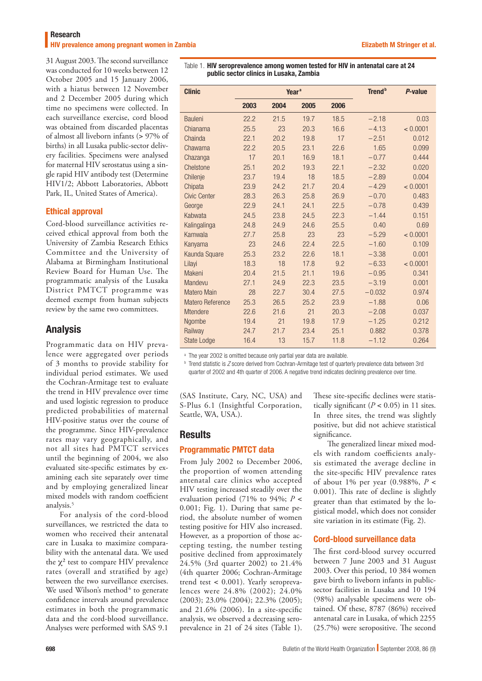**HIV prevalence among pregnant women in Zambia Elizabeth M Stringer et al. Elizabeth M Stringer et al.** 

31 August 2003. The second surveillance was conducted for 10 weeks between 12 October 2005 and 15 January 2006, with a hiatus between 12 November and 2 December 2005 during which time no specimens were collected. In each surveillance exercise, cord blood was obtained from discarded placentas of almost all liveborn infants (> 97% of births) in all Lusaka public-sector delivery facilities. Specimens were analysed for maternal HIV serostatus using a single rapid HIV antibody test (Determine HIV1/2; Abbott Laboratories, Abbott Park, IL, United States of America).

## Ethical approval

Cord-blood surveillance activities received ethical approval from both the University of Zambia Research Ethics Committee and the University of Alabama at Birmingham Institutional Review Board for Human Use. The programmatic analysis of the Lusaka District PMTCT programme was deemed exempt from human subjects review by the same two committees.

# Analysis

Programmatic data on HIV prevalence were aggregated over periods of 3 months to provide stability for individual period estimates. We used the Cochran-Armitage test to evaluate the trend in HIV prevalence over time and used logistic regression to produce predicted probabilities of maternal HIV-positive status over the course of the programme. Since HIV-prevalence rates may vary geographically, and not all sites had PMTCT services until the beginning of 2004, we also evaluated site-specific estimates by examining each site separately over time and by employing generalized linear mixed models with random coefficient analysis.<sup>5</sup>

For analysis of the cord-blood surveillances, we restricted the data to women who received their antenatal care in Lusaka to maximize comparability with the antenatal data. We used the  $\chi^2$  test to compare HIV prevalence rates (overall and stratified by age) between the two surveillance exercises. We used Wilson's method $6$  to generate confidence intervals around prevalence estimates in both the programmatic data and the cord-blood surveillance. Analyses were performed with SAS 9.1

Table 1. HIV seroprevalence among women tested for HIV in antenatal care at 24 public sector clinics in Lusaka, Zambia

| <b>Clinic</b>           | Year <sup>a</sup> |      |      |      | <b>Trend</b> <sup>b</sup> | P-value  |  |
|-------------------------|-------------------|------|------|------|---------------------------|----------|--|
|                         | 2003              | 2004 | 2005 | 2006 |                           |          |  |
| <b>Bauleni</b>          | 22.2              | 21.5 | 19.7 | 18.5 | $-2.18$                   | 0.03     |  |
| Chianama                | 25.5              | 23   | 20.3 | 16.6 | $-4.13$                   | < 0.0001 |  |
| Chainda                 | 22.1              | 20.2 | 19.8 | 17   | $-2.51$                   | 0.012    |  |
| Chawama                 | 22.2              | 20.5 | 23.1 | 22.6 | 1.65                      | 0.099    |  |
| Chazanga                | 17                | 20.1 | 16.9 | 18.1 | $-0.77$                   | 0.444    |  |
| Chelstone               | 25.1              | 20.2 | 19.3 | 22.1 | $-2.32$                   | 0.020    |  |
| Chilenje                | 23.7              | 19.4 | 18   | 18.5 | $-2.89$                   | 0.004    |  |
| Chipata                 | 23.9              | 24.2 | 21.7 | 20.4 | $-4.29$                   | < 0.0001 |  |
| <b>Civic Center</b>     | 28.3              | 26.3 | 25.8 | 26.9 | $-0.70$                   | 0.483    |  |
| George                  | 22.9              | 24.1 | 24.1 | 22.5 | $-0.78$                   | 0.439    |  |
| Kabwata                 | 24.5              | 23.8 | 24.5 | 22.3 | $-1.44$                   | 0.151    |  |
| Kalingalinga            | 24.8              | 24.9 | 24.6 | 25.5 | 0.40                      | 0.69     |  |
| Kamwala                 | 27.7              | 25.8 | 23   | 23   | $-5.29$                   | < 0.0001 |  |
| Kanyama                 | 23                | 24.6 | 22.4 | 22.5 | $-1.60$                   | 0.109    |  |
| Kaunda Square           | 25.3              | 23.2 | 22.6 | 18.1 | $-3.38$                   | 0.001    |  |
| Lilayi                  | 18.3              | 18   | 17.8 | 9.2  | $-6.33$                   | < 0.0001 |  |
| Makeni                  | 20.4              | 21.5 | 21.1 | 19.6 | $-0.95$                   | 0.341    |  |
| Mandevu                 | 27.1              | 24.9 | 22.3 | 23.5 | $-3.19$                   | 0.001    |  |
| <b>Matero Main</b>      | 28                | 22.7 | 30.4 | 27.5 | $-0.032$                  | 0.974    |  |
| <b>Matero Reference</b> | 25.3              | 26.5 | 25.2 | 23.9 | $-1.88$                   | 0.06     |  |
| <b>Mtendere</b>         | 22.6              | 21.6 | 21   | 20.3 | $-2.08$                   | 0.037    |  |
| Ngombe                  | 19.4              | 21   | 19.8 | 17.9 | $-1.25$                   | 0.212    |  |
| Railway                 | 24.7              | 21.7 | 23.4 | 25.1 | 0.882                     | 0.378    |  |
| <b>State Lodge</b>      | 16.4              | 13   | 15.7 | 11.8 | $-1.12$                   | 0.264    |  |

<sup>a</sup> The year 2002 is omitted because only partial year data are available.

<sup>b</sup> Trend statistic is Z score derived from Cochran-Armitage test of quarterly prevalence data between 3rd quarter of 2002 and 4th quarter of 2006. A negative trend indicates declining prevalence over time.

(SAS Institute, Cary, NC, USA) and S-Plus 6.1 (Insightful Corporation, Seattle, WA, USA.).

## **Results**

## Programmatic PMTCT data

From July 2002 to December 2006, the proportion of women attending antenatal care clinics who accepted HIV testing increased steadily over the evaluation period (71% to 94%; *P* < 0.001; Fig. 1). During that same period, the absolute number of women testing positive for HIV also increased. However, as a proportion of those accepting testing, the number testing positive declined from approximately 24.5% (3rd quarter 2002) to 21.4% (4th quarter 2006; Cochran-Armitage trend test < 0.001). Yearly seroprevalences were 24.8% (2002); 24.0% (2003); 23.0% (2004); 22.3% (2005); and 21.6% (2006). In a site-specific analysis, we observed a decreasing seroprevalence in 21 of 24 sites (Table 1).

These site-specific declines were statistically significant  $(P < 0.05)$  in 11 sites. In three sites, the trend was slightly positive, but did not achieve statistical significance.

The generalized linear mixed models with random coefficients analysis estimated the average decline in the site-specific HIV prevalence rates of about 1% per year (0.988%, *P* < 0.001). This rate of decline is slightly greater than that estimated by the logistical model, which does not consider site variation in its estimate (Fig. 2).

## Cord-blood surveillance data

The first cord-blood survey occurred between 7 June 2003 and 31 August 2003. Over this period, 10 384 women gave birth to liveborn infants in publicsector facilities in Lusaka and 10 194 (98%) analysable specimens were obtained. Of these, 8787 (86%) received antenatal care in Lusaka, of which 2255 (25.7%) were seropositive. The second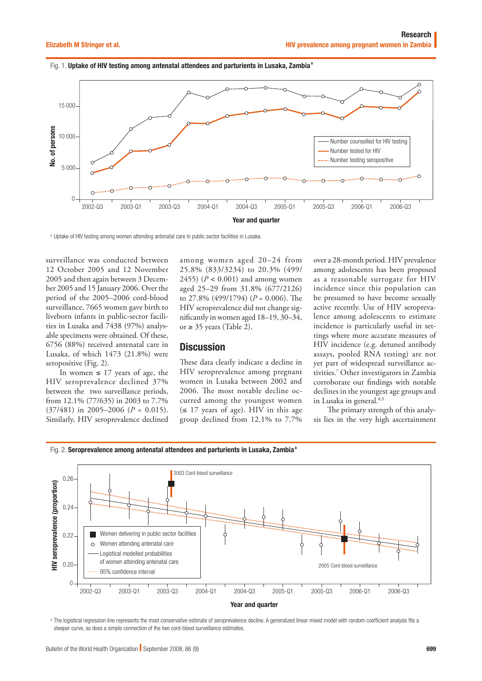Fig. 1. Uptake of HIV testing among antenatal attendees and parturients in Lusaka, Zambia<sup>a</sup>



<sup>a</sup> Uptake of HIV testing among women attending antenatal care in public sector facilities in Lusaka.

surveillance was conducted between 12 October 2005 and 12 November 2005 and then again between 3 December 2005 and 15 January 2006. Over the period of the 2005–2006 cord-blood surveillance, 7665 women gave birth to liveborn infants in public-sector facilities in Lusaka and 7438 (97%) analysable specimens were obtained. Of these, 6756 (88%) received antenatal care in Lusaka, of which 1473 (21.8%) were seropositive (Fig. 2).

In women  $\leq 17$  years of age, the HIV seroprevalence declined 37% between the two surveillance periods, from 12.1% (77/635) in 2003 to 7.7%  $(37/481)$  in 2005–2006 ( $P = 0.015$ ). Similarly, HIV seroprevalence declined

among women aged 20–24 from 25.8% (833/3234) to 20.3% (499/ 2455) ( $P < 0.001$ ) and among women aged 25–29 from 31.8% (677/2126) to 27.8% (499/1794) (*P* = 0.006). The HIV seroprevalence did not change significantly in women aged 18–19, 30–34, or  $\geq$  35 years (Table 2).

## **Discussion**

These data clearly indicate a decline in HIV seroprevalence among pregnant women in Lusaka between 2002 and 2006. The most notable decline occurred among the youngest women  $(\leq 17$  years of age). HIV in this age group declined from 12.1% to 7.7%

over a 28-month period. HIV prevalence among adolescents has been proposed as a reasonable surrogate for HIV incidence since this population can be presumed to have become sexually active recently. Use of HIV seroprevalence among adolescents to estimate incidence is particularly useful in settings where more accurate measures of HIV incidence (e.g. detuned antibody assays, pooled RNA testing) are not yet part of widespread surveillance activities.7 Other investigators in Zambia corroborate our findings with notable declines in the youngest age groups and in Lusaka in general.<sup>8,9</sup>

The primary strength of this analysis lies in the very high ascertainment





a The logistical regression line represents the most conservative estimate of seroprevalence decline. A generalized linear mixed model with random coefficient analysis fits a steeper curve, as does a simple connection of the two cord-blood surveillance estimates.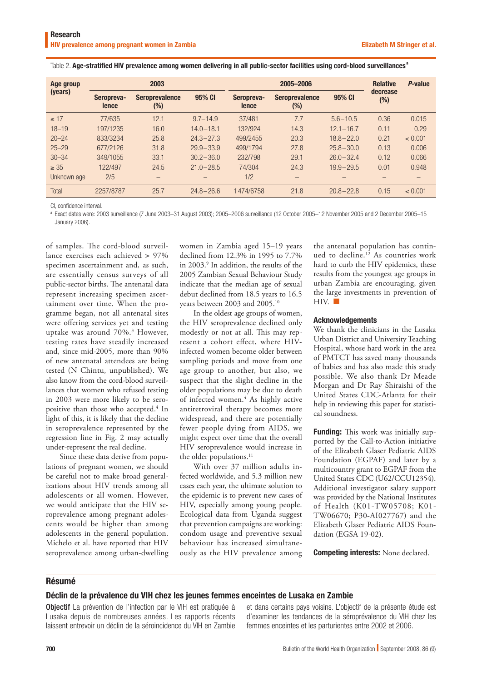|  | Table 2. Age-stratified HIV prevalence among women delivering in all public-sector facilities using cord-blood surveillances <sup>a</sup> |
|--|-------------------------------------------------------------------------------------------------------------------------------------------|
|  |                                                                                                                                           |

| Age group<br>(years) | 2003                |                              |                   | 2005-2006           |                                 |               | <b>Relative</b>    | P-value |
|----------------------|---------------------|------------------------------|-------------------|---------------------|---------------------------------|---------------|--------------------|---------|
|                      | Seropreva-<br>lence | <b>Seroprevalence</b><br>(%) | 95% CI            | Seropreva-<br>lence | <b>Seroprevalence</b><br>$(\%)$ | 95% CI        | decrease<br>$(\%)$ |         |
| $\leq$ 17            | 77/635              | 12.1                         | $9.7 - 14.9$      | 37/481              | 7.7                             | $5.6 - 10.5$  | 0.36               | 0.015   |
| $18 - 19$            | 197/1235            | 16.0                         | $14.0 - 18.1$     | 132/924             | 14.3                            | $12.1 - 16.7$ | 0.11               | 0.29    |
| $20 - 24$            | 833/3234            | 25.8                         | $24.3 - 27.3$     | 499/2455            | 20.3                            | $18.8 - 22.0$ | 0.21               | < 0.001 |
| $25 - 29$            | 677/2126            | 31.8                         | $29.9 - 33.9$     | 499/1794            | 27.8                            | $25.8 - 30.0$ | 0.13               | 0.006   |
| $30 - 34$            | 349/1055            | 33.1                         | $30.2 - 36.0$     | 232/798             | 29.1                            | $26.0 - 32.4$ | 0.12               | 0.066   |
| $\geq 35$            | 122/497             | 24.5                         | $21.0 - 28.5$     | 74/304              | 24.3                            | $19.9 - 29.5$ | 0.01               | 0.948   |
| Unknown age          | 2/5                 | —                            | $\qquad \qquad -$ | 1/2                 | $\overline{\phantom{0}}$        |               |                    |         |
| Total                | 2257/8787           | 25.7                         | $24.8 - 26.6$     | 1474/6758           | 21.8                            | $20.8 - 22.8$ | 0.15               | < 0.001 |

CI, confidence interval.

a Exact dates were: 2003 surveillance (7 June 2003–31 August 2003); 2005–2006 surveillance (12 October 2005–12 November 2005 and 2 December 2005–15 January 2006).

of samples. The cord-blood surveillance exercises each achieved > 97% specimen ascertainment and, as such, are essentially census surveys of all public-sector births. The antenatal data represent increasing specimen ascertainment over time. When the programme began, not all antenatal sites were offering services yet and testing uptake was around 70%.3 However, testing rates have steadily increased and, since mid-2005, more than 90% of new antenatal attendees are being tested (N Chintu, unpublished). We also know from the cord-blood surveillances that women who refused testing in 2003 were more likely to be seropositive than those who accepted.<sup>4</sup> In light of this, it is likely that the decline in seroprevalence represented by the regression line in Fig. 2 may actually under-represent the real decline.

Since these data derive from populations of pregnant women, we should be careful not to make broad generalizations about HIV trends among all adolescents or all women. However, we would anticipate that the HIV seroprevalence among pregnant adolescents would be higher than among adolescents in the general population. Michelo et al. have reported that HIV seroprevalence among urban-dwelling women in Zambia aged 15–19 years declined from 12.3% in 1995 to 7.7% in 2003.9 In addition, the results of the 2005 Zambian Sexual Behaviour Study indicate that the median age of sexual debut declined from 18.5 years to 16.5 years between 2003 and 2005.10

In the oldest age groups of women, the HIV seroprevalence declined only modestly or not at all. This may represent a cohort effect, where HIVinfected women become older between sampling periods and move from one age group to another, but also, we suspect that the slight decline in the older populations may be due to death of infected women.<sup>4</sup> As highly active antiretroviral therapy becomes more widespread, and there are potentially fewer people dying from AIDS, we might expect over time that the overall HIV seroprevalence would increase in the older populations.<sup>11</sup>

With over 37 million adults infected worldwide, and 5.3 million new cases each year, the ultimate solution to the epidemic is to prevent new cases of HIV, especially among young people. Ecological data from Uganda suggest that prevention campaigns are working: condom usage and preventive sexual behaviour has increased simultaneously as the HIV prevalence among the antenatal population has continued to decline.12 As countries work hard to curb the HIV epidemics, these results from the youngest age groups in urban Zambia are encouraging, given the large investments in prevention of  $HIV.$ 

#### Acknowledgements

We thank the clinicians in the Lusaka Urban District and University Teaching Hospital, whose hard work in the area of PMTCT has saved many thousands of babies and has also made this study possible. We also thank Dr Meade Morgan and Dr Ray Shiraishi of the United States CDC-Atlanta for their help in reviewing this paper for statistical soundness.

Funding: This work was initially supported by the Call-to-Action initiative of the Elizabeth Glaser Pediatric AIDS Foundation (EGPAF) and later by a multicountry grant to EGPAF from the United States CDC (U62/CCU12354). Additional investigator salary support was provided by the National Institutes of Health (K01-TW05708; K01- TW06670; P30-AI027767) and the Elizabeth Glaser Pediatric AIDS Foundation (EGSA 19-02).

Competing interests: None declared.

## Résumé

#### Déclin de la prévalence du VIH chez les jeunes femmes enceintes de Lusaka en Zambie

Objectif La prévention de l'infection par le VIH est pratiquée à Lusaka depuis de nombreuses années. Les rapports récents laissent entrevoir un déclin de la séroincidence du VIH en Zambie et dans certains pays voisins. L'objectif de la présente étude est d'examiner les tendances de la séroprévalence du VIH chez les femmes enceintes et les parturientes entre 2002 et 2006.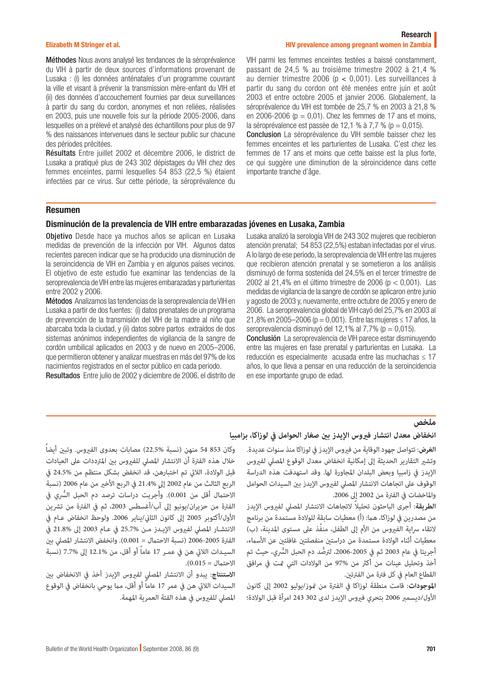#### Elizabeth M Stringer et al.

#### Research HIV prevalence among pregnant women in Zambia

Méthodes Nous avons analysé les tendances de la séroprévalence du VIH à partir de deux sources d'informations provenant de Lusaka : (i) les données anténatales d'un programme couvrant la ville et visant à prévenir la transmission mère-enfant du VIH et (ii) des données d'accouchement fournies par deux surveillances à partir du sang du cordon, anonymes et non reliées, réalisées en 2003, puis une nouvelle fois sur la période 2005-2006, dans lesquelles on a prélevé et analysé des échantillons pour plus de 97 % des naissances intervenues dans le secteur public sur chacune des périodes précitées.

Résultats Entre juillet 2002 et décembre 2006, le district de Lusaka a pratiqué plus de 243 302 dépistages du VIH chez des femmes enceintes, parmi lesquelles 54 853 (22,5 %) étaient infectées par ce virus. Sur cette période, la séroprévalence du VIH parmi les femmes enceintes testées a baissé constamment, passant de 24,5 % au troisième trimestre 2002 à 21,4 % au dernier trimestre 2006 (p < 0,001). Les surveillances à partir du sang du cordon ont été menées entre juin et août 2003 et entre octobre 2005 et janvier 2006. Globalement, la séroprévalence du VIH est tombée de 25,7 % en 2003 à 21,8 % en 2006-2006 ( $p = 0.01$ ). Chez les femmes de 17 ans et moins, la séroprévalence est passée de 12,1 % à 7,7 % ( $p = 0.015$ ).

Conclusion La séroprévalence du VIH semble baisser chez les femmes enceintes et les parturientes de Lusaka. C'est chez les femmes de 17 ans et moins que cette baisse est la plus forte, ce qui suggère une diminution de la séroincidence dans cette importante tranche d'âge.

## Resumen

## Disminución de la prevalencia de VIH entre embarazadas jóvenes en Lusaka, Zambia

Obietivo Desde hace ya muchos años se aplican en Lusaka medidas de prevención de la infección por VIH. Algunos datos recientes parecen indicar que se ha producido una disminución de la seroincidencia de VIH en Zambia y en algunos países vecinos. El objetivo de este estudio fue examinar las tendencias de la seroprevalencia de VIH entre las mujeres embarazadas y parturientas entre 2002 y 2006.

Métodos Analizamos las tendencias de la seroprevalencia de VIH en Lusaka a partir de dos fuentes: (i) datos prenatales de un programa de prevención de la transmisión del VIH de la madre al niño que abarcaba toda la ciudad, y (ii) datos sobre partos extraídos de dos sistemas anónimos independientes de vigilancia de la sangre de cordón umbilical aplicados en 2003 y de nuevo en 2005–2006, que permitieron obtener y analizar muestras en más del 97% de los nacimientos registrados en el sector público en cada periodo.

Resultados Entre julio de 2002 y diciembre de 2006, el distrito de

Lusaka analizó la serología VIH de 243 302 mujeres que recibieron atención prenatal; 54 853 (22,5%) estaban infectadas por el virus. A lo largo de ese periodo, la seroprevalencia de VIH entre las mujeres que recibieron atención prenatal y se sometieron a los análisis disminuyó de forma sostenida del 24,5% en el tercer trimestre de 2002 al 21,4% en el último trimestre de 2006 (p < 0,001). Las medidas de vigilancia de la sangre de cordón se aplicaron entre junio y agosto de 2003 y, nuevamente, entre octubre de 2005 y enero de 2006. La seroprevalencia global de VIH cayó del 25,7% en 2003 al 21,8% en 2005–2006 (p = 0,001). Entre las mujeres ≤ 17 años, la seroprevalencia disminuyó del 12,1% al 7,7% ( $p = 0.015$ ).

Conclusión La seroprevalencia de VIH parece estar disminuyendo entre las mujeres en fase prenatal y parturientas en Lusaka. La reducción es especialmente acusada entre las muchachas ≤ 17 años, lo que lleva a pensar en una reducción de la seroincidencia en ese importante grupo de edad.

# **ملخص**

## **انخفاض معدل انتشار فريوس اإليدز بني صغار الحوامل يف لوزاكا، بزامبيا**

**الغرض**: تتواصل جهود الوقاية من فريوس اإليدز يف لوزاكا منذ سنوات عديدة. وتشري التقارير الحديثة إىل إمكانية انخفاض معدل الوقوع املصيل لفريوس اإليدز يف زامبيا وبعض البلدان املجاورة لها. وقد استهدفت هذه الدراسة الوقوف عىل اتجاهات االنتشار املصيل لفريوس اإليدز بني السيدات الحوامل واملاخضات يف الفرتة من 2002 إىل .2006

ا**لط يقة**: أجرى الباحثون تحليلاً لاتجاهات الانتشار المصلى لفيروس الإيدز من مصدرين في لوزاكا، هما: (أ) معطيات سابقة للولادة مستمدة من برنامج لاتقاء سراية الفيروس من الأم إلى الطفل، منفَّذ على مستوى المدينة، (ب) معطيات أثناء الوالدة مستمدة من دراستني منفصلتني غافلتني عن األسامء، أجريتا في عام 2003 ثم في 2005-2006، لترصُّد دم الحبل السُّري، حيث تم أخذ وتحليل عينات من أكرث من 97% من الوالدات التي متت يف مرافق القطاع العام في كل فترة من الفترتين.

**املوجودات**: قامت منطقة لوزاكا يف الفرتة من متوز/يوليو 2002 إىل كانون األول/ديسمرب 2006 بتحري فريوس اإليدز لدى 302 243 امرأة قبل الوالدة؛

وكان 853 54 منهن (نسبة %22.5) مصابات بعدوى الفبروس. وتبن أيضاً خلال هذه الفترة أن الانتشار المصلى للفيروس بين المترددات على العىادات قبل الوالدة، الاليت تم اختبارهن، قد انخفض بشكل منتظم من 24.5% يف الربع الثالث من عام 2002 إلى 21.4% في الربع الأخير من عام 2006 (نسبة ً،<br>ا الاحتمال أقل من 0.001). وأجريت دراسات ترصد دم الحبل السُّري في الفترة من حزيران/يونيو إلى آب/أغسطس 2003، ثم في الفترة من تشرين الأول/أكتوبر 2005 إلى كانون الثاني/يناير 2006. ولوحظ انخفاض عـام في االنتشـار املصيل لفريوس اإليـدز مـن 25.7% يف عـام 2003 إىل 21.8% يف الفترة 2005-2006 (نسبة الاحتمال = 0.001). وانخفض الانتشار المصلي بن السيـدات الاليت هن يف عمـر 17 عاماً أو أقل، من 12.1% إىل 7.7% )نسبة  $|0.015| = 0.01$ .

الاستنتاج: يبدو أن الانتشار المصلى لفيروس الإيدز آخذ في الانخفاض بين السيدات اللاتي هن في عمر 17 عاماً أو أقل، مما يوحي بانخفاض في الوقوع املصيل للفريوس يف هذه الفئة العمرية املهمة.